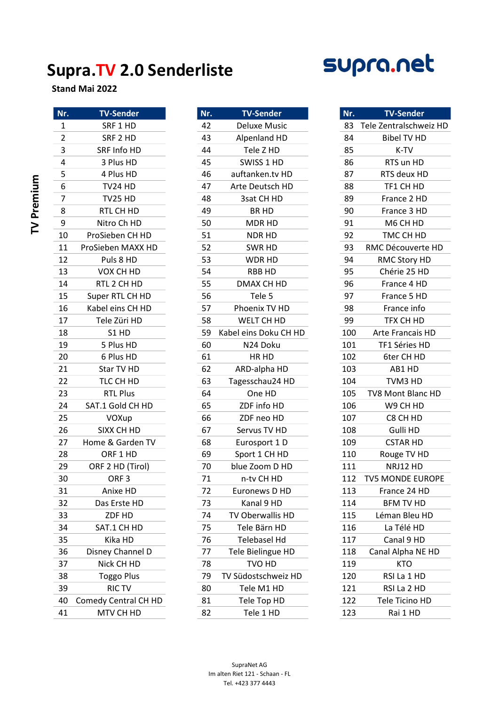## Supra.TV 2.0 Senderliste



Stand Mai 2022

|            | Nr.                     | <b>TV-Sender</b>     | Nr. | <b>TV-Sender</b>      | Nr. | <b>TV-Sende</b>      |
|------------|-------------------------|----------------------|-----|-----------------------|-----|----------------------|
|            | $\mathbf{1}$            | SRF 1 HD             | 42  | <b>Deluxe Music</b>   | 83  | Tele Zentralschv     |
|            | $\overline{2}$          | SRF 2 HD             | 43  | Alpenland HD          | 84  | <b>Bibel TV H</b>    |
|            | 3                       | SRF Info HD          | 44  | Tele Z HD             | 85  | K-TV                 |
|            | $\overline{\mathbf{4}}$ | 3 Plus HD            | 45  | SWISS 1 HD            | 86  | RTS un HD            |
|            | 5                       | 4 Plus HD            | 46  | auftanken.tv HD       | 87  | RTS deux H           |
| TV Premium | 6                       | TV24 HD              | 47  | Arte Deutsch HD       | 88  | TF1 CH HD            |
|            | $\overline{7}$          | TV25 HD              | 48  | 3sat CH HD            | 89  | France 2 H           |
|            | 8                       | RTL CH HD            | 49  | BR HD                 | 90  | France 3 H           |
|            | 9                       | Nitro Ch HD          | 50  | MDR HD                | 91  | M6 CH HD             |
|            | 10                      | ProSieben CH HD      | 51  | <b>NDR HD</b>         | 92  | TMC CH H             |
|            | 11                      | ProSieben MAXX HD    | 52  | SWR HD                | 93  | RMC Découver         |
|            | 12                      | Puls 8 HD            | 53  | WDR HD                | 94  | <b>RMC Story I</b>   |
|            | 13                      | VOX CH HD            | 54  | <b>RBB HD</b>         | 95  | Chérie 25 H          |
|            | 14                      | RTL 2 CH HD          | 55  | DMAX CH HD            | 96  | France 4 H           |
|            | 15                      | Super RTL CH HD      | 56  | Tele 5                | 97  | France 5 H           |
|            | 16                      | Kabel eins CH HD     | 57  | Phoenix TV HD         | 98  | France inf           |
|            | 17                      | Tele Züri HD         | 58  | WELT CH HD            | 99  | TFX CH HI            |
|            | 18                      | S1 HD                | 59  | Kabel eins Doku CH HD | 100 | <b>Arte Francais</b> |
|            | 19                      | 5 Plus HD            | 60  | N24 Doku              | 101 | TF1 Séries I         |
|            | 20                      | 6 Plus HD            | 61  | HR HD                 | 102 | 6ter CH HI           |
|            | 21                      | Star TV HD           | 62  | ARD-alpha HD          | 103 | AB1 HD               |
|            | 22                      | TLC CH HD            | 63  | Tagesschau24 HD       | 104 | TVM3 HD              |
|            | 23                      | <b>RTL Plus</b>      | 64  | One HD                | 105 | TV8 Mont Blar        |
|            | 24                      | SAT.1 Gold CH HD     | 65  | ZDF info HD           | 106 | W9 CH HD             |
|            | 25                      | VOXup                | 66  | ZDF neo HD            | 107 | C8 CH HD             |
|            | 26                      | SIXX CH HD           | 67  | Servus TV HD          | 108 | Gulli HD             |
|            | 27                      | Home & Garden TV     | 68  | Eurosport 1 D         | 109 | <b>CSTAR HD</b>      |
|            | 28                      | ORF 1 HD             | 69  | Sport 1 CH HD         | 110 | Rouge TV H           |
|            | 29                      | ORF 2 HD (Tirol)     | 70  | blue Zoom D HD        | 111 | NRJ12 HD             |
|            | 30                      | ORF <sub>3</sub>     | 71  | n-tv CH HD            | 112 | TV5 MONDE EL         |
|            | 31                      | Anixe HD             | 72  | Euronews D HD         | 113 | France 24 H          |
|            | 32                      | Das Erste HD         | 73  | Kanal 9 HD            | 114 | <b>BFM TV HI</b>     |
|            | 33                      | ZDF HD               | 74  | TV Oberwallis HD      | 115 | Léman Bleu           |
|            | 34                      | SAT.1 CH HD          | 75  | Tele Bärn HD          | 116 | La Télé HI           |
|            | 35                      | Kika HD              | 76  | <b>Telebasel Hd</b>   | 117 | Canal 9 HI           |
|            | 36                      | Disney Channel D     | 77  | Tele Bielingue HD     | 118 | Canal Alpha N        |
|            | 37                      | Nick CH HD           | 78  | TVO HD                | 119 | <b>KTO</b>           |
|            | 38                      | <b>Toggo Plus</b>    | 79  | TV Südostschweiz HD   | 120 | RSI La 1 HI          |
|            | 39                      | <b>RICTV</b>         | 80  | Tele M1 HD            | 121 | RSI La 2 HI          |
|            | 40                      | Comedy Central CH HD | 81  | Tele Top HD           | 122 | Tele Ticino I        |
|            | 41                      | MTV CH HD            | 82  | Tele 1 HD             | 123 | Rai 1 HD             |

| SRF 1 HD<br>42<br>$\mathbf{1}$<br><b>Deluxe Music</b><br>83<br>$\overline{2}$<br>43<br>84<br>SRF 2 HD<br>Alpenland HD<br>3<br>SRF Info HD<br>44<br>Tele Z HD<br>85<br>4<br>3 Plus HD<br>45<br>SWISS 1 HD<br>86<br>5<br>46<br>auftanken.tv HD<br>87<br>RTS deux HD<br>4 Plus HD<br>6<br>47<br>Arte Deutsch HD<br>88<br>TF1 CH HD<br>TV24 HD<br>$\overline{7}$<br><b>TV25 HD</b><br>48<br>3sat CH HD<br>89<br>France 2 HD<br>8<br>49<br>RTL CH HD<br><b>BR HD</b><br>90<br>France 3 HD<br>$\boldsymbol{9}$<br>Nitro Ch HD<br>50<br>91<br>M6 CH HD<br>MDR HD<br>ProSieben CH HD<br>51<br>92<br>10<br><b>NDR HD</b><br>TMC CH HD<br>52<br>93<br>RMC Découverte HD<br>11<br>ProSieben MAXX HD<br>SWR HD<br>12<br>Puls 8 HD<br>53<br>WDR HD<br>94<br><b>RMC Story HD</b><br>54<br>95<br>Chérie 25 HD<br>13<br>VOX CH HD<br><b>RBB HD</b><br>RTL 2 CH HD<br>55<br>DMAX CH HD<br>96<br>14<br>France 4 HD<br>Super RTL CH HD<br>Tele 5<br>97<br>15<br>56<br>France 5 HD<br>Kabel eins CH HD<br>57<br>Phoenix TV HD<br>98<br>16<br>France info<br>TFX CH HD<br>WELT CH HD<br>99<br>17<br>Tele Züri HD<br>58<br>Kabel eins Doku CH HD<br>100<br>18<br>S1 HD<br>59<br>Arte Francais HD<br>101<br>TF1 Séries HD<br>19<br>5 Plus HD<br>60<br>N24 Doku<br>102<br>20<br>6 Plus HD<br>61<br>HR HD<br>6ter CH HD<br>62<br>21<br>Star TV HD<br>103<br>AB1 HD<br>ARD-alpha HD<br>22<br>TLC CH HD<br>63<br>104<br>Tagesschau24 HD<br>TVM3 HD<br>23<br><b>RTL Plus</b><br>64<br>One HD<br>105<br>TV8 Mont Blanc HD<br>ZDF info HD<br>24<br>SAT.1 Gold CH HD<br>65<br>106<br>W9 CH HD<br>25<br>66<br>107<br>VOXup<br>ZDF neo HD<br>C8 CH HD<br>Gulli HD<br>26<br>SIXX CH HD<br>67<br>Servus TV HD<br>108<br>Home & Garden TV<br>109<br>27<br>68<br>Eurosport 1 D<br>28<br>ORF 1 HD<br>69<br>110<br>Sport 1 CH HD<br>Rouge TV HD<br>29<br>ORF 2 HD (Tirol)<br>70<br>blue Zoom D HD<br>111<br>30<br>71<br>ORF <sub>3</sub><br>112<br>n-tv CH HD<br>31<br>72<br>113<br>Euronews D HD<br>Anixe HD<br>32<br>Das Erste HD<br>Kanal 9 HD<br>114<br>73<br>TV Oberwallis HD<br>33<br>ZDF HD<br>74<br>115<br>34<br>Tele Bärn HD<br>116<br>SAT.1 CH HD<br>75<br>Telebasel Hd<br>35<br>Kika HD<br>117<br>76<br>36<br>Disney Channel D<br>77<br>Tele Bielingue HD<br>118<br>Nick CH HD<br>TVO HD<br>119<br>37<br>78<br>38<br><b>Toggo Plus</b><br>TV Südostschweiz HD<br>120<br>RSI La 1 HD<br>79<br>39<br><b>RICTV</b><br>80<br>Tele M1 HD<br>121<br>Comedy Central CH HD<br>Tele Top HD<br>122<br>40<br>81<br>Tele Ticino HD<br>123 | Nr. | <b>TV-Sender</b> | Nr. | <b>TV-Sender</b> | Nr. | <b>TV-Sender</b>        |
|---------------------------------------------------------------------------------------------------------------------------------------------------------------------------------------------------------------------------------------------------------------------------------------------------------------------------------------------------------------------------------------------------------------------------------------------------------------------------------------------------------------------------------------------------------------------------------------------------------------------------------------------------------------------------------------------------------------------------------------------------------------------------------------------------------------------------------------------------------------------------------------------------------------------------------------------------------------------------------------------------------------------------------------------------------------------------------------------------------------------------------------------------------------------------------------------------------------------------------------------------------------------------------------------------------------------------------------------------------------------------------------------------------------------------------------------------------------------------------------------------------------------------------------------------------------------------------------------------------------------------------------------------------------------------------------------------------------------------------------------------------------------------------------------------------------------------------------------------------------------------------------------------------------------------------------------------------------------------------------------------------------------------------------------------------------------------------------------------------------------------------------------------------------------------------------------------------------------------------------------------------------------------------------------------------------------------------------------------------------------------------------------------------------------------------------------------------------------------------------------------|-----|------------------|-----|------------------|-----|-------------------------|
|                                                                                                                                                                                                                                                                                                                                                                                                                                                                                                                                                                                                                                                                                                                                                                                                                                                                                                                                                                                                                                                                                                                                                                                                                                                                                                                                                                                                                                                                                                                                                                                                                                                                                                                                                                                                                                                                                                                                                                                                                                                                                                                                                                                                                                                                                                                                                                                                                                                                                                   |     |                  |     |                  |     | Tele Zentralschweiz HD  |
|                                                                                                                                                                                                                                                                                                                                                                                                                                                                                                                                                                                                                                                                                                                                                                                                                                                                                                                                                                                                                                                                                                                                                                                                                                                                                                                                                                                                                                                                                                                                                                                                                                                                                                                                                                                                                                                                                                                                                                                                                                                                                                                                                                                                                                                                                                                                                                                                                                                                                                   |     |                  |     |                  |     | <b>Bibel TV HD</b>      |
|                                                                                                                                                                                                                                                                                                                                                                                                                                                                                                                                                                                                                                                                                                                                                                                                                                                                                                                                                                                                                                                                                                                                                                                                                                                                                                                                                                                                                                                                                                                                                                                                                                                                                                                                                                                                                                                                                                                                                                                                                                                                                                                                                                                                                                                                                                                                                                                                                                                                                                   |     |                  |     |                  |     | K-TV                    |
|                                                                                                                                                                                                                                                                                                                                                                                                                                                                                                                                                                                                                                                                                                                                                                                                                                                                                                                                                                                                                                                                                                                                                                                                                                                                                                                                                                                                                                                                                                                                                                                                                                                                                                                                                                                                                                                                                                                                                                                                                                                                                                                                                                                                                                                                                                                                                                                                                                                                                                   |     |                  |     |                  |     | RTS un HD               |
|                                                                                                                                                                                                                                                                                                                                                                                                                                                                                                                                                                                                                                                                                                                                                                                                                                                                                                                                                                                                                                                                                                                                                                                                                                                                                                                                                                                                                                                                                                                                                                                                                                                                                                                                                                                                                                                                                                                                                                                                                                                                                                                                                                                                                                                                                                                                                                                                                                                                                                   |     |                  |     |                  |     |                         |
|                                                                                                                                                                                                                                                                                                                                                                                                                                                                                                                                                                                                                                                                                                                                                                                                                                                                                                                                                                                                                                                                                                                                                                                                                                                                                                                                                                                                                                                                                                                                                                                                                                                                                                                                                                                                                                                                                                                                                                                                                                                                                                                                                                                                                                                                                                                                                                                                                                                                                                   |     |                  |     |                  |     |                         |
|                                                                                                                                                                                                                                                                                                                                                                                                                                                                                                                                                                                                                                                                                                                                                                                                                                                                                                                                                                                                                                                                                                                                                                                                                                                                                                                                                                                                                                                                                                                                                                                                                                                                                                                                                                                                                                                                                                                                                                                                                                                                                                                                                                                                                                                                                                                                                                                                                                                                                                   |     |                  |     |                  |     |                         |
|                                                                                                                                                                                                                                                                                                                                                                                                                                                                                                                                                                                                                                                                                                                                                                                                                                                                                                                                                                                                                                                                                                                                                                                                                                                                                                                                                                                                                                                                                                                                                                                                                                                                                                                                                                                                                                                                                                                                                                                                                                                                                                                                                                                                                                                                                                                                                                                                                                                                                                   |     |                  |     |                  |     |                         |
|                                                                                                                                                                                                                                                                                                                                                                                                                                                                                                                                                                                                                                                                                                                                                                                                                                                                                                                                                                                                                                                                                                                                                                                                                                                                                                                                                                                                                                                                                                                                                                                                                                                                                                                                                                                                                                                                                                                                                                                                                                                                                                                                                                                                                                                                                                                                                                                                                                                                                                   |     |                  |     |                  |     |                         |
|                                                                                                                                                                                                                                                                                                                                                                                                                                                                                                                                                                                                                                                                                                                                                                                                                                                                                                                                                                                                                                                                                                                                                                                                                                                                                                                                                                                                                                                                                                                                                                                                                                                                                                                                                                                                                                                                                                                                                                                                                                                                                                                                                                                                                                                                                                                                                                                                                                                                                                   |     |                  |     |                  |     |                         |
|                                                                                                                                                                                                                                                                                                                                                                                                                                                                                                                                                                                                                                                                                                                                                                                                                                                                                                                                                                                                                                                                                                                                                                                                                                                                                                                                                                                                                                                                                                                                                                                                                                                                                                                                                                                                                                                                                                                                                                                                                                                                                                                                                                                                                                                                                                                                                                                                                                                                                                   |     |                  |     |                  |     |                         |
|                                                                                                                                                                                                                                                                                                                                                                                                                                                                                                                                                                                                                                                                                                                                                                                                                                                                                                                                                                                                                                                                                                                                                                                                                                                                                                                                                                                                                                                                                                                                                                                                                                                                                                                                                                                                                                                                                                                                                                                                                                                                                                                                                                                                                                                                                                                                                                                                                                                                                                   |     |                  |     |                  |     |                         |
|                                                                                                                                                                                                                                                                                                                                                                                                                                                                                                                                                                                                                                                                                                                                                                                                                                                                                                                                                                                                                                                                                                                                                                                                                                                                                                                                                                                                                                                                                                                                                                                                                                                                                                                                                                                                                                                                                                                                                                                                                                                                                                                                                                                                                                                                                                                                                                                                                                                                                                   |     |                  |     |                  |     |                         |
|                                                                                                                                                                                                                                                                                                                                                                                                                                                                                                                                                                                                                                                                                                                                                                                                                                                                                                                                                                                                                                                                                                                                                                                                                                                                                                                                                                                                                                                                                                                                                                                                                                                                                                                                                                                                                                                                                                                                                                                                                                                                                                                                                                                                                                                                                                                                                                                                                                                                                                   |     |                  |     |                  |     |                         |
|                                                                                                                                                                                                                                                                                                                                                                                                                                                                                                                                                                                                                                                                                                                                                                                                                                                                                                                                                                                                                                                                                                                                                                                                                                                                                                                                                                                                                                                                                                                                                                                                                                                                                                                                                                                                                                                                                                                                                                                                                                                                                                                                                                                                                                                                                                                                                                                                                                                                                                   |     |                  |     |                  |     |                         |
|                                                                                                                                                                                                                                                                                                                                                                                                                                                                                                                                                                                                                                                                                                                                                                                                                                                                                                                                                                                                                                                                                                                                                                                                                                                                                                                                                                                                                                                                                                                                                                                                                                                                                                                                                                                                                                                                                                                                                                                                                                                                                                                                                                                                                                                                                                                                                                                                                                                                                                   |     |                  |     |                  |     |                         |
|                                                                                                                                                                                                                                                                                                                                                                                                                                                                                                                                                                                                                                                                                                                                                                                                                                                                                                                                                                                                                                                                                                                                                                                                                                                                                                                                                                                                                                                                                                                                                                                                                                                                                                                                                                                                                                                                                                                                                                                                                                                                                                                                                                                                                                                                                                                                                                                                                                                                                                   |     |                  |     |                  |     |                         |
|                                                                                                                                                                                                                                                                                                                                                                                                                                                                                                                                                                                                                                                                                                                                                                                                                                                                                                                                                                                                                                                                                                                                                                                                                                                                                                                                                                                                                                                                                                                                                                                                                                                                                                                                                                                                                                                                                                                                                                                                                                                                                                                                                                                                                                                                                                                                                                                                                                                                                                   |     |                  |     |                  |     |                         |
|                                                                                                                                                                                                                                                                                                                                                                                                                                                                                                                                                                                                                                                                                                                                                                                                                                                                                                                                                                                                                                                                                                                                                                                                                                                                                                                                                                                                                                                                                                                                                                                                                                                                                                                                                                                                                                                                                                                                                                                                                                                                                                                                                                                                                                                                                                                                                                                                                                                                                                   |     |                  |     |                  |     |                         |
|                                                                                                                                                                                                                                                                                                                                                                                                                                                                                                                                                                                                                                                                                                                                                                                                                                                                                                                                                                                                                                                                                                                                                                                                                                                                                                                                                                                                                                                                                                                                                                                                                                                                                                                                                                                                                                                                                                                                                                                                                                                                                                                                                                                                                                                                                                                                                                                                                                                                                                   |     |                  |     |                  |     |                         |
|                                                                                                                                                                                                                                                                                                                                                                                                                                                                                                                                                                                                                                                                                                                                                                                                                                                                                                                                                                                                                                                                                                                                                                                                                                                                                                                                                                                                                                                                                                                                                                                                                                                                                                                                                                                                                                                                                                                                                                                                                                                                                                                                                                                                                                                                                                                                                                                                                                                                                                   |     |                  |     |                  |     |                         |
|                                                                                                                                                                                                                                                                                                                                                                                                                                                                                                                                                                                                                                                                                                                                                                                                                                                                                                                                                                                                                                                                                                                                                                                                                                                                                                                                                                                                                                                                                                                                                                                                                                                                                                                                                                                                                                                                                                                                                                                                                                                                                                                                                                                                                                                                                                                                                                                                                                                                                                   |     |                  |     |                  |     |                         |
|                                                                                                                                                                                                                                                                                                                                                                                                                                                                                                                                                                                                                                                                                                                                                                                                                                                                                                                                                                                                                                                                                                                                                                                                                                                                                                                                                                                                                                                                                                                                                                                                                                                                                                                                                                                                                                                                                                                                                                                                                                                                                                                                                                                                                                                                                                                                                                                                                                                                                                   |     |                  |     |                  |     |                         |
|                                                                                                                                                                                                                                                                                                                                                                                                                                                                                                                                                                                                                                                                                                                                                                                                                                                                                                                                                                                                                                                                                                                                                                                                                                                                                                                                                                                                                                                                                                                                                                                                                                                                                                                                                                                                                                                                                                                                                                                                                                                                                                                                                                                                                                                                                                                                                                                                                                                                                                   |     |                  |     |                  |     |                         |
|                                                                                                                                                                                                                                                                                                                                                                                                                                                                                                                                                                                                                                                                                                                                                                                                                                                                                                                                                                                                                                                                                                                                                                                                                                                                                                                                                                                                                                                                                                                                                                                                                                                                                                                                                                                                                                                                                                                                                                                                                                                                                                                                                                                                                                                                                                                                                                                                                                                                                                   |     |                  |     |                  |     |                         |
|                                                                                                                                                                                                                                                                                                                                                                                                                                                                                                                                                                                                                                                                                                                                                                                                                                                                                                                                                                                                                                                                                                                                                                                                                                                                                                                                                                                                                                                                                                                                                                                                                                                                                                                                                                                                                                                                                                                                                                                                                                                                                                                                                                                                                                                                                                                                                                                                                                                                                                   |     |                  |     |                  |     |                         |
|                                                                                                                                                                                                                                                                                                                                                                                                                                                                                                                                                                                                                                                                                                                                                                                                                                                                                                                                                                                                                                                                                                                                                                                                                                                                                                                                                                                                                                                                                                                                                                                                                                                                                                                                                                                                                                                                                                                                                                                                                                                                                                                                                                                                                                                                                                                                                                                                                                                                                                   |     |                  |     |                  |     | <b>CSTAR HD</b>         |
|                                                                                                                                                                                                                                                                                                                                                                                                                                                                                                                                                                                                                                                                                                                                                                                                                                                                                                                                                                                                                                                                                                                                                                                                                                                                                                                                                                                                                                                                                                                                                                                                                                                                                                                                                                                                                                                                                                                                                                                                                                                                                                                                                                                                                                                                                                                                                                                                                                                                                                   |     |                  |     |                  |     |                         |
|                                                                                                                                                                                                                                                                                                                                                                                                                                                                                                                                                                                                                                                                                                                                                                                                                                                                                                                                                                                                                                                                                                                                                                                                                                                                                                                                                                                                                                                                                                                                                                                                                                                                                                                                                                                                                                                                                                                                                                                                                                                                                                                                                                                                                                                                                                                                                                                                                                                                                                   |     |                  |     |                  |     | NRJ12 HD                |
|                                                                                                                                                                                                                                                                                                                                                                                                                                                                                                                                                                                                                                                                                                                                                                                                                                                                                                                                                                                                                                                                                                                                                                                                                                                                                                                                                                                                                                                                                                                                                                                                                                                                                                                                                                                                                                                                                                                                                                                                                                                                                                                                                                                                                                                                                                                                                                                                                                                                                                   |     |                  |     |                  |     | <b>TV5 MONDE EUROPE</b> |
|                                                                                                                                                                                                                                                                                                                                                                                                                                                                                                                                                                                                                                                                                                                                                                                                                                                                                                                                                                                                                                                                                                                                                                                                                                                                                                                                                                                                                                                                                                                                                                                                                                                                                                                                                                                                                                                                                                                                                                                                                                                                                                                                                                                                                                                                                                                                                                                                                                                                                                   |     |                  |     |                  |     | France 24 HD            |
|                                                                                                                                                                                                                                                                                                                                                                                                                                                                                                                                                                                                                                                                                                                                                                                                                                                                                                                                                                                                                                                                                                                                                                                                                                                                                                                                                                                                                                                                                                                                                                                                                                                                                                                                                                                                                                                                                                                                                                                                                                                                                                                                                                                                                                                                                                                                                                                                                                                                                                   |     |                  |     |                  |     | <b>BFM TV HD</b>        |
|                                                                                                                                                                                                                                                                                                                                                                                                                                                                                                                                                                                                                                                                                                                                                                                                                                                                                                                                                                                                                                                                                                                                                                                                                                                                                                                                                                                                                                                                                                                                                                                                                                                                                                                                                                                                                                                                                                                                                                                                                                                                                                                                                                                                                                                                                                                                                                                                                                                                                                   |     |                  |     |                  |     | Léman Bleu HD           |
|                                                                                                                                                                                                                                                                                                                                                                                                                                                                                                                                                                                                                                                                                                                                                                                                                                                                                                                                                                                                                                                                                                                                                                                                                                                                                                                                                                                                                                                                                                                                                                                                                                                                                                                                                                                                                                                                                                                                                                                                                                                                                                                                                                                                                                                                                                                                                                                                                                                                                                   |     |                  |     |                  |     | La Télé HD              |
|                                                                                                                                                                                                                                                                                                                                                                                                                                                                                                                                                                                                                                                                                                                                                                                                                                                                                                                                                                                                                                                                                                                                                                                                                                                                                                                                                                                                                                                                                                                                                                                                                                                                                                                                                                                                                                                                                                                                                                                                                                                                                                                                                                                                                                                                                                                                                                                                                                                                                                   |     |                  |     |                  |     | Canal 9 HD              |
|                                                                                                                                                                                                                                                                                                                                                                                                                                                                                                                                                                                                                                                                                                                                                                                                                                                                                                                                                                                                                                                                                                                                                                                                                                                                                                                                                                                                                                                                                                                                                                                                                                                                                                                                                                                                                                                                                                                                                                                                                                                                                                                                                                                                                                                                                                                                                                                                                                                                                                   |     |                  |     |                  |     | Canal Alpha NE HD       |
|                                                                                                                                                                                                                                                                                                                                                                                                                                                                                                                                                                                                                                                                                                                                                                                                                                                                                                                                                                                                                                                                                                                                                                                                                                                                                                                                                                                                                                                                                                                                                                                                                                                                                                                                                                                                                                                                                                                                                                                                                                                                                                                                                                                                                                                                                                                                                                                                                                                                                                   |     |                  |     |                  |     | KTO                     |
|                                                                                                                                                                                                                                                                                                                                                                                                                                                                                                                                                                                                                                                                                                                                                                                                                                                                                                                                                                                                                                                                                                                                                                                                                                                                                                                                                                                                                                                                                                                                                                                                                                                                                                                                                                                                                                                                                                                                                                                                                                                                                                                                                                                                                                                                                                                                                                                                                                                                                                   |     |                  |     |                  |     |                         |
|                                                                                                                                                                                                                                                                                                                                                                                                                                                                                                                                                                                                                                                                                                                                                                                                                                                                                                                                                                                                                                                                                                                                                                                                                                                                                                                                                                                                                                                                                                                                                                                                                                                                                                                                                                                                                                                                                                                                                                                                                                                                                                                                                                                                                                                                                                                                                                                                                                                                                                   |     |                  |     |                  |     | RSI La 2 HD             |
|                                                                                                                                                                                                                                                                                                                                                                                                                                                                                                                                                                                                                                                                                                                                                                                                                                                                                                                                                                                                                                                                                                                                                                                                                                                                                                                                                                                                                                                                                                                                                                                                                                                                                                                                                                                                                                                                                                                                                                                                                                                                                                                                                                                                                                                                                                                                                                                                                                                                                                   |     |                  |     |                  |     |                         |
|                                                                                                                                                                                                                                                                                                                                                                                                                                                                                                                                                                                                                                                                                                                                                                                                                                                                                                                                                                                                                                                                                                                                                                                                                                                                                                                                                                                                                                                                                                                                                                                                                                                                                                                                                                                                                                                                                                                                                                                                                                                                                                                                                                                                                                                                                                                                                                                                                                                                                                   | 41  | MTV CH HD        | 82  | Tele 1 HD        |     | Rai 1 HD                |

| Nr. | <b>TV-Sender</b>         |  |  |  |
|-----|--------------------------|--|--|--|
| 83  | Tele Zentralschweiz HD   |  |  |  |
| 84  | <b>Bibel TV HD</b>       |  |  |  |
| 85  | K-TV                     |  |  |  |
| 86  | RTS un HD                |  |  |  |
| 87  | RTS deux HD              |  |  |  |
| 88  | TF1 CH HD                |  |  |  |
| 89  | France 2 HD              |  |  |  |
| 90  | France 3 HD              |  |  |  |
| 91  | M6 CH HD                 |  |  |  |
| 92  | TMC CH HD                |  |  |  |
| 93  | RMC Découverte HD        |  |  |  |
| 94  | <b>RMC Story HD</b>      |  |  |  |
| 95  | Chérie 25 HD             |  |  |  |
| 96  | France 4 HD              |  |  |  |
| 97  | France 5 HD              |  |  |  |
| 98  | France info              |  |  |  |
| 99  | TFX CH HD                |  |  |  |
| 100 | <b>Arte Francais HD</b>  |  |  |  |
| 101 | TF1 Séries HD            |  |  |  |
| 102 | 6ter CH HD               |  |  |  |
| 103 | AB1 HD                   |  |  |  |
| 104 | TVM3 HD                  |  |  |  |
| 105 | <b>TV8 Mont Blanc HD</b> |  |  |  |
| 106 | W9 CH HD                 |  |  |  |
| 107 | C8 CH HD                 |  |  |  |
| 108 | Gulli HD                 |  |  |  |
| 109 | <b>CSTAR HD</b>          |  |  |  |
| 110 | Rouge TV HD              |  |  |  |
| 111 | NRJ12 HD                 |  |  |  |
| 112 | <b>TV5 MONDE EUROPE</b>  |  |  |  |
| 113 | France 24 HD             |  |  |  |
| 114 | <b>BFM TV HD</b>         |  |  |  |
| 115 | Léman Bleu HD            |  |  |  |
| 116 | La Télé HD               |  |  |  |
| 117 | Canal 9 HD               |  |  |  |
| 118 | Canal Alpha NE HD        |  |  |  |
| 119 | <b>KTO</b>               |  |  |  |
| 120 | RSI La 1 HD              |  |  |  |
| 121 | RSI La 2 HD              |  |  |  |
| 122 | Tele Ticino HD           |  |  |  |
| 123 | Rai 1 HD                 |  |  |  |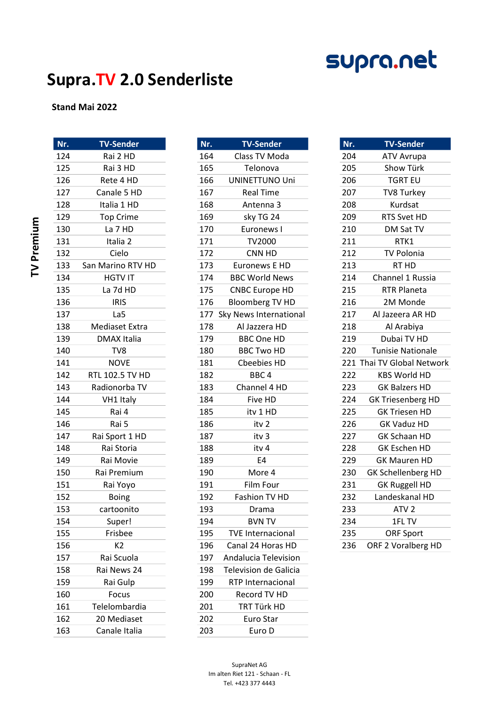# supra.net

### Supra.TV 2.0 Senderliste

#### Stand Mai 2022

|            | Nr. | <b>TV-Sender</b>   | Nr. | <b>TV-Sender</b>         | Nr. | <b>TV-Sender</b>           |
|------------|-----|--------------------|-----|--------------------------|-----|----------------------------|
|            | 124 | Rai 2 HD           | 164 | Class TV Moda            | 204 | ATV Avrupa                 |
|            | 125 | Rai 3 HD           | 165 | Telonova                 | 205 | Show Türk                  |
|            | 126 | Rete 4 HD          | 166 | <b>UNINETTUNO Uni</b>    | 206 | <b>TGRT EU</b>             |
|            | 127 | Canale 5 HD        | 167 | <b>Real Time</b>         | 207 | TV8 Turkey                 |
|            | 128 | Italia 1 HD        | 168 | Antenna 3                | 208 | Kurdsat                    |
|            | 129 | <b>Top Crime</b>   | 169 | sky TG 24                | 209 | RTS Svet HD                |
|            | 130 | La 7 HD            | 170 | Euronews I               | 210 | DM Sat TV                  |
| TV Premium | 131 | Italia 2           | 171 | TV2000                   | 211 | RTK1                       |
|            | 132 | Cielo              | 172 | CNN HD                   | 212 | <b>TV Polonia</b>          |
|            | 133 | San Marino RTV HD  | 173 | Euronews E HD            | 213 | RT HD                      |
|            | 134 | <b>HGTV IT</b>     | 174 | <b>BBC World News</b>    | 214 | Channel 1 Russia           |
|            | 135 | La 7d HD           | 175 | <b>CNBC Europe HD</b>    | 215 | <b>RTR Planeta</b>         |
|            | 136 | <b>IRIS</b>        | 176 | <b>Bloomberg TV HD</b>   | 216 | 2M Monde                   |
|            | 137 | La5                | 177 | Sky News International   | 217 | Al Jazeera AR HD           |
|            | 138 | Mediaset Extra     | 178 | Al Jazzera HD            | 218 | Al Arabiya                 |
|            | 139 | <b>DMAX Italia</b> | 179 | <b>BBC One HD</b>        | 219 | Dubai TV HD                |
|            | 140 | TV8                | 180 | <b>BBC Two HD</b>        | 220 | <b>Tunisie Nationale</b>   |
|            | 141 | <b>NOVE</b>        | 181 | Cbeebies HD              |     | 221 Thai TV Global Network |
|            | 142 | RTL 102.5 TV HD    | 182 | BBC <sub>4</sub>         | 222 | <b>KBS World HD</b>        |
|            | 143 | Radionorba TV      | 183 | Channel 4 HD             | 223 | <b>GK Balzers HD</b>       |
|            | 144 | VH1 Italy          | 184 | Five HD                  | 224 | <b>GK Triesenberg HD</b>   |
|            | 145 | Rai 4              | 185 | itv 1 HD                 | 225 | <b>GK Triesen HD</b>       |
|            | 146 | Rai 5              | 186 | itv 2                    | 226 | <b>GK Vaduz HD</b>         |
|            | 147 | Rai Sport 1 HD     | 187 | itv <sub>3</sub>         | 227 | <b>GK Schaan HD</b>        |
|            | 148 | Rai Storia         | 188 | itv 4                    | 228 | GK Eschen HD               |
|            | 149 | Rai Movie          | 189 | E4                       | 229 | <b>GK Mauren HD</b>        |
|            | 150 | Rai Premium        | 190 | More 4                   | 230 | GK Schellenberg HD         |
|            | 151 | Rai Yoyo           | 191 | Film Four                | 231 | <b>GK Ruggell HD</b>       |
|            | 152 | <b>Boing</b>       | 192 | Fashion TV HD            | 232 | Landeskanal HD             |
|            | 153 | cartoonito         | 193 | Drama                    | 233 | ATV <sub>2</sub>           |
|            | 154 | Super!             | 194 | <b>BVN TV</b>            | 234 | 1FL TV                     |
|            | 155 | Frisbee            | 195 | <b>TVE Internacional</b> | 235 | <b>ORF Sport</b>           |
|            | 156 | K <sub>2</sub>     | 196 | Canal 24 Horas HD        | 236 | ORF 2 Voralberg HD         |
|            | 157 | Rai Scuola         | 197 | Andalucia Television     |     |                            |
|            | 158 | Rai News 24        | 198 | Television de Galicia    |     |                            |
|            | 159 | Rai Gulp           | 199 | RTP Internacional        |     |                            |
|            | 160 | Focus              | 200 | Record TV HD             |     |                            |
|            | 161 | Telelombardia      | 201 | TRT Türk HD              |     |                            |
|            | 162 | 20 Mediaset        | 202 | Euro Star                |     |                            |
|            | 163 | Canale Italia      | 203 | Euro D                   |     |                            |

| 164 | Class TV Moda                |
|-----|------------------------------|
| 165 | Telonova                     |
| 166 | UNINETTUNO Uni               |
| 167 | <b>Real Time</b>             |
| 168 | Antenna 3                    |
| 169 | sky TG 24                    |
| 170 | Euronews I                   |
| 171 | TV2000                       |
| 172 | CNN HD                       |
| 173 | <b>Euronews E HD</b>         |
| 174 | <b>BBC World News</b>        |
| 175 | <b>CNBC Europe HD</b>        |
| 176 | <b>Bloomberg TV HD</b>       |
| 177 | Sky News International       |
| 178 | Al Jazzera HD                |
| 179 | <b>BBC One HD</b>            |
| 180 | <b>BBC Two HD</b>            |
| 181 | <b>Cbeebies HD</b>           |
| 182 | BBC <sub>4</sub>             |
| 183 | Channel 4 HD                 |
| 184 | Five HD                      |
| 185 | itv 1 HD                     |
| 186 | itv 2                        |
| 187 | itv 3                        |
| 188 | itv 4                        |
| 189 | E4                           |
| 190 | More 4                       |
| 191 | Film Four                    |
| 192 | Fashion TV HD                |
| 193 | Drama                        |
| 194 | <b>BVN TV</b>                |
| 195 | <b>TVE Internacional</b>     |
| 196 | Canal 24 Horas HD            |
| 197 | Andalucia Television         |
| 198 | <b>Television de Galicia</b> |
| 199 | <b>RTP Internacional</b>     |
| 200 | <b>Record TV HD</b>          |
| 201 | TRT Türk HD                  |
| 202 | Euro Star                    |
| 203 | Furo D                       |

| Nr.                   | <u>ı v-senaer</u>        |  |  |  |
|-----------------------|--------------------------|--|--|--|
| 204                   | <b>ATV Avrupa</b>        |  |  |  |
| 205                   | Show Türk                |  |  |  |
| <b>TGRT EU</b><br>206 |                          |  |  |  |
| 207<br>TV8 Turkey     |                          |  |  |  |
| 208                   | Kurdsat                  |  |  |  |
| 209                   | RTS Svet HD              |  |  |  |
| 210                   | DM Sat TV                |  |  |  |
| 211                   | RTK1                     |  |  |  |
| 212                   | <b>TV Polonia</b>        |  |  |  |
| 213                   | RT HD                    |  |  |  |
| 214                   | Channel 1 Russia         |  |  |  |
| 215                   | <b>RTR Planeta</b>       |  |  |  |
| 216                   | 2M Monde                 |  |  |  |
| 217                   | Al Jazeera AR HD         |  |  |  |
| 218                   | Al Arabiya               |  |  |  |
| 219                   | Dubai TV HD              |  |  |  |
| 220                   | <b>Tunisie Nationale</b> |  |  |  |
| 221                   | Thai TV Global Network   |  |  |  |
| 222                   | <b>KBS World HD</b>      |  |  |  |
| 223                   | <b>GK Balzers HD</b>     |  |  |  |
| 224                   | <b>GK Triesenberg HD</b> |  |  |  |
| 225                   | <b>GK Triesen HD</b>     |  |  |  |
| 226                   | <b>GK Vaduz HD</b>       |  |  |  |
| 227                   | GK Schaan HD             |  |  |  |
| 228                   | GK Eschen HD             |  |  |  |
| 229                   | <b>GK Mauren HD</b>      |  |  |  |
| 230                   | GK Schellenberg HD       |  |  |  |
| 231                   | <b>GK Ruggell HD</b>     |  |  |  |
| 232                   | Landeskanal HD           |  |  |  |
| 233                   | ATV <sub>2</sub>         |  |  |  |
| 234                   | 1FL TV                   |  |  |  |
| 235                   | <b>ORF Sport</b>         |  |  |  |
| 236                   | ORF 2 Voralberg HD       |  |  |  |
|                       |                          |  |  |  |